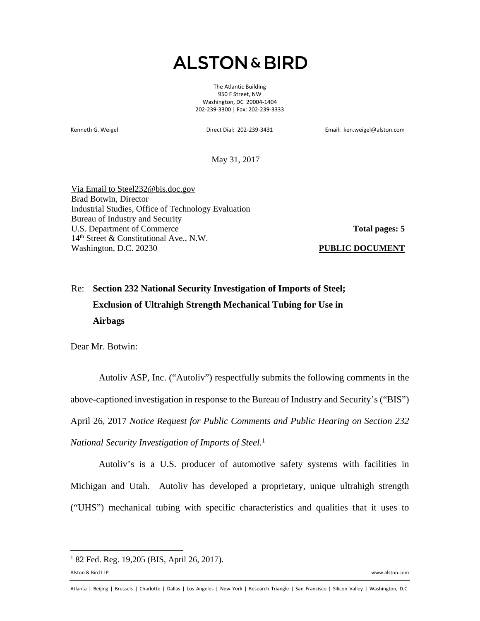## **ALSTON & BIRD**

The Atlantic Building 950 F Street, NW Washington, DC 20004-1404 202-239-3300 | Fax: 202-239-3333

Kenneth G. Weigel Direct Dial: 202-239-3431 Email: ken.weigel@alston.com

May 31, 2017

Via Email to Steel232@bis.doc.gov Brad Botwin, Director Industrial Studies, Office of Technology Evaluation Bureau of Industry and Security U.S. Department of Commerce 14<sup>th</sup> Street & Constitutional Ave., N.W. Washington, D.C. 20230

**Total pages: 5**

**PUBLIC DOCUMENT**

## Re: **Section 232 National Security Investigation of Imports of Steel; Exclusion of Ultrahigh Strength Mechanical Tubing for Use in Airbags**

Dear Mr. Botwin:

Autoliv ASP, Inc. ("Autoliv") respectfully submits the following comments in the above-captioned investigation in response to the Bureau of Industry and Security's ("BIS") April 26, 2017 *Notice Request for Public Comments and Public Hearing on Section 232 National Security Investigation of Imports of Steel.*<sup>1</sup>

Autoliv's is a U.S. producer of automotive safety systems with facilities in Michigan and Utah. Autoliv has developed a proprietary, unique ultrahigh strength ("UHS") mechanical tubing with specific characteristics and qualities that it uses to

<sup>&</sup>lt;sup>1</sup> 82 Fed. Reg. 19,205 (BIS, April 26, 2017).

Alston & Bird LLP www.alston.com

Atlanta | Beijing | Brussels | Charlotte | Dallas | Los Angeles | New York | Research Triangle | San Francisco | Silicon Valley | Washington, D.C.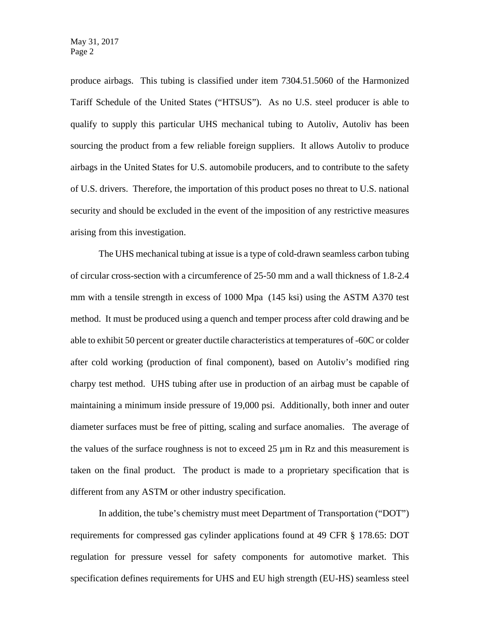produce airbags. This tubing is classified under item 7304.51.5060 of the Harmonized Tariff Schedule of the United States ("HTSUS"). As no U.S. steel producer is able to qualify to supply this particular UHS mechanical tubing to Autoliv, Autoliv has been sourcing the product from a few reliable foreign suppliers. It allows Autoliv to produce airbags in the United States for U.S. automobile producers, and to contribute to the safety of U.S. drivers. Therefore, the importation of this product poses no threat to U.S. national security and should be excluded in the event of the imposition of any restrictive measures arising from this investigation.

The UHS mechanical tubing at issue is a type of cold-drawn seamless carbon tubing of circular cross-section with a circumference of 25-50 mm and a wall thickness of 1.8-2.4 mm with a tensile strength in excess of 1000 Mpa (145 ksi) using the ASTM A370 test method. It must be produced using a quench and temper process after cold drawing and be able to exhibit 50 percent or greater ductile characteristics at temperatures of -60C or colder after cold working (production of final component), based on Autoliv's modified ring charpy test method. UHS tubing after use in production of an airbag must be capable of maintaining a minimum inside pressure of 19,000 psi. Additionally, both inner and outer diameter surfaces must be free of pitting, scaling and surface anomalies. The average of the values of the surface roughness is not to exceed  $25 \mu m$  in Rz and this measurement is taken on the final product. The product is made to a proprietary specification that is different from any ASTM or other industry specification.

In addition, the tube's chemistry must meet Department of Transportation ("DOT") requirements for compressed gas cylinder applications found at 49 CFR § 178.65: DOT regulation for pressure vessel for safety components for automotive market. This specification defines requirements for UHS and EU high strength (EU-HS) seamless steel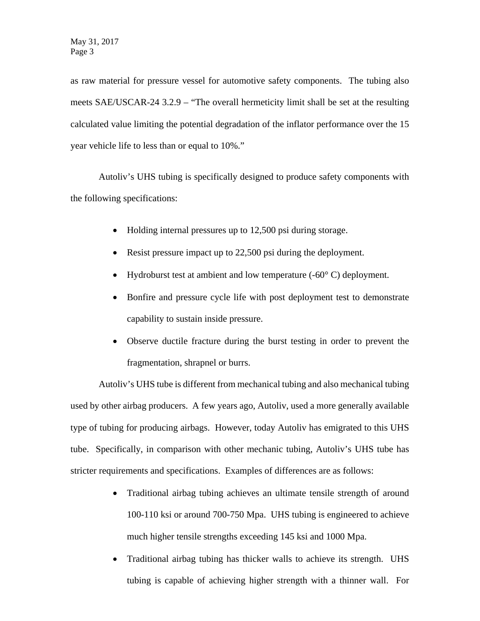as raw material for pressure vessel for automotive safety components. The tubing also meets SAE/USCAR-24 3.2.9 – "The overall hermeticity limit shall be set at the resulting calculated value limiting the potential degradation of the inflator performance over the 15 year vehicle life to less than or equal to 10%."

Autoliv's UHS tubing is specifically designed to produce safety components with the following specifications:

- Holding internal pressures up to 12,500 psi during storage.
- Resist pressure impact up to 22,500 psi during the deployment.
- Hydroburst test at ambient and low temperature  $(-60^{\circ} \text{ C})$  deployment.
- Bonfire and pressure cycle life with post deployment test to demonstrate capability to sustain inside pressure.
- Observe ductile fracture during the burst testing in order to prevent the fragmentation, shrapnel or burrs.

Autoliv's UHS tube is different from mechanical tubing and also mechanical tubing used by other airbag producers. A few years ago, Autoliv, used a more generally available type of tubing for producing airbags. However, today Autoliv has emigrated to this UHS tube. Specifically, in comparison with other mechanic tubing, Autoliv's UHS tube has stricter requirements and specifications. Examples of differences are as follows:

- Traditional airbag tubing achieves an ultimate tensile strength of around 100-110 ksi or around 700-750 Mpa. UHS tubing is engineered to achieve much higher tensile strengths exceeding 145 ksi and 1000 Mpa.
- Traditional airbag tubing has thicker walls to achieve its strength. UHS tubing is capable of achieving higher strength with a thinner wall. For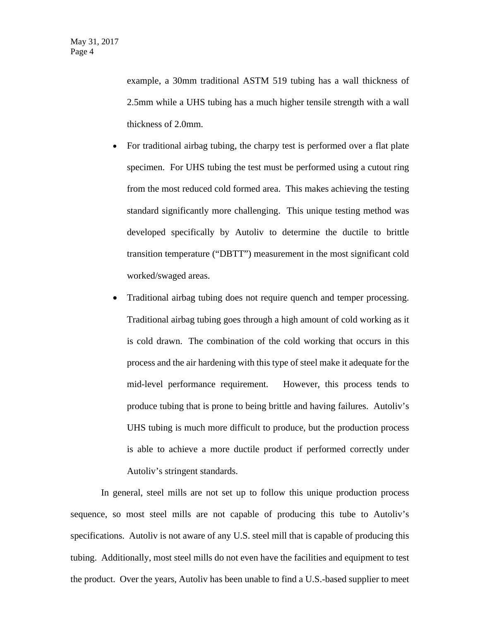example, a 30mm traditional ASTM 519 tubing has a wall thickness of 2.5mm while a UHS tubing has a much higher tensile strength with a wall thickness of 2.0mm.

- For traditional airbag tubing, the charpy test is performed over a flat plate specimen. For UHS tubing the test must be performed using a cutout ring from the most reduced cold formed area. This makes achieving the testing standard significantly more challenging. This unique testing method was developed specifically by Autoliv to determine the ductile to brittle transition temperature ("DBTT") measurement in the most significant cold worked/swaged areas.
- Traditional airbag tubing does not require quench and temper processing. Traditional airbag tubing goes through a high amount of cold working as it is cold drawn. The combination of the cold working that occurs in this process and the air hardening with this type of steel make it adequate for the mid-level performance requirement. However, this process tends to produce tubing that is prone to being brittle and having failures. Autoliv's UHS tubing is much more difficult to produce, but the production process is able to achieve a more ductile product if performed correctly under Autoliv's stringent standards.

In general, steel mills are not set up to follow this unique production process sequence, so most steel mills are not capable of producing this tube to Autoliv's specifications. Autoliv is not aware of any U.S. steel mill that is capable of producing this tubing. Additionally, most steel mills do not even have the facilities and equipment to test the product. Over the years, Autoliv has been unable to find a U.S.-based supplier to meet